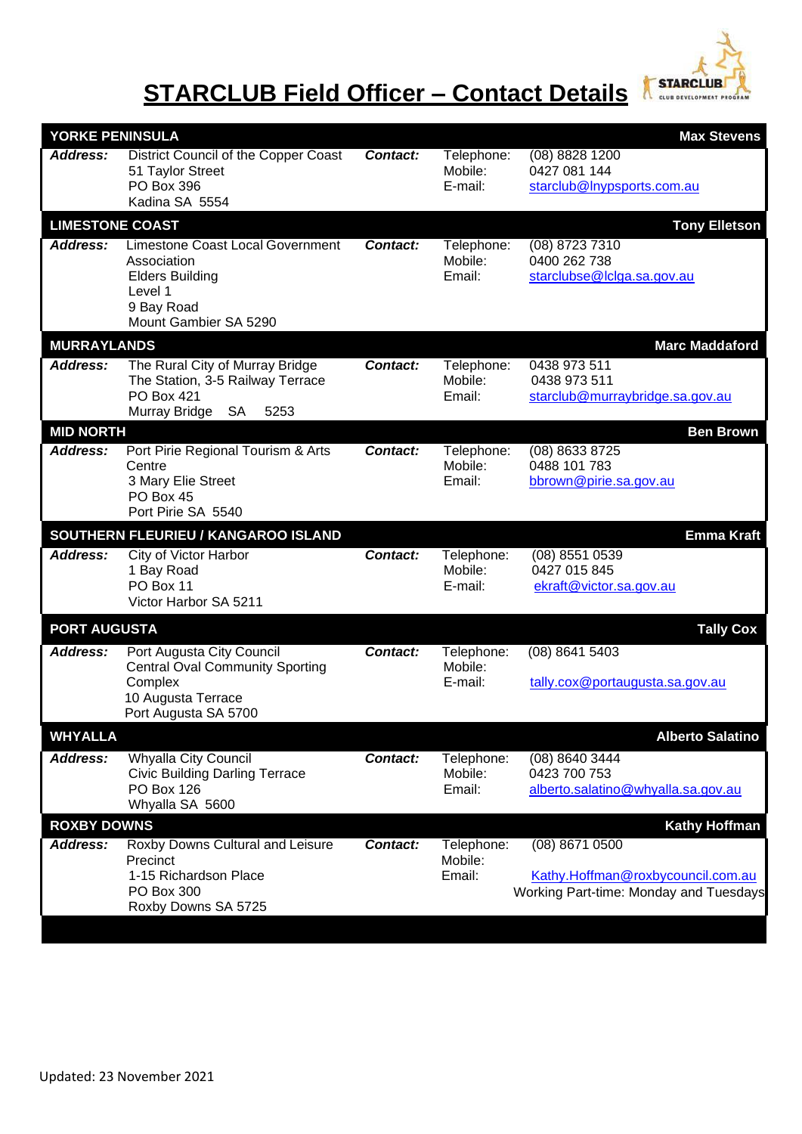

## **STARCLUB Field Officer – Contact Details**

| YORKE PENINSULA<br><b>Max Stevens</b>          |                                                                                                                                    |          |                                  |                                                                                               |  |  |  |  |  |
|------------------------------------------------|------------------------------------------------------------------------------------------------------------------------------------|----------|----------------------------------|-----------------------------------------------------------------------------------------------|--|--|--|--|--|
| Address:                                       | District Council of the Copper Coast<br>51 Taylor Street<br>PO Box 396<br>Kadina SA 5554                                           | Contact: | Telephone:<br>Mobile:<br>E-mail: | $(08)$ 8828 1200<br>0427 081 144<br>starclub@Inypsports.com.au                                |  |  |  |  |  |
| <b>LIMESTONE COAST</b><br><b>Tony Elletson</b> |                                                                                                                                    |          |                                  |                                                                                               |  |  |  |  |  |
| <b>Address:</b>                                | <b>Limestone Coast Local Government</b><br>Association<br><b>Elders Building</b><br>Level 1<br>9 Bay Road<br>Mount Gambier SA 5290 | Contact: | Telephone:<br>Mobile:<br>Email:  | (08) 8723 7310<br>0400 262 738<br>starclubse@lclga.sa.gov.au                                  |  |  |  |  |  |
| <b>MURRAYLANDS</b>                             |                                                                                                                                    |          |                                  | <b>Marc Maddaford</b>                                                                         |  |  |  |  |  |
| Address:                                       | The Rural City of Murray Bridge<br>The Station, 3-5 Railway Terrace<br><b>PO Box 421</b><br>Murray Bridge<br><b>SA</b><br>5253     | Contact: | Telephone:<br>Mobile:<br>Email:  | 0438 973 511<br>0438 973 511<br>starclub@murraybridge.sa.gov.au                               |  |  |  |  |  |
| <b>MID NORTH</b><br><b>Ben Brown</b>           |                                                                                                                                    |          |                                  |                                                                                               |  |  |  |  |  |
| Address:                                       | Port Pirie Regional Tourism & Arts<br>Centre<br>3 Mary Elie Street<br>PO Box 45<br>Port Pirie SA 5540                              | Contact: | Telephone:<br>Mobile:<br>Email:  | $(08)$ 8633 8725<br>0488 101 783<br>bbrown@pirie.sa.gov.au                                    |  |  |  |  |  |
|                                                | SOUTHERN FLEURIEU / KANGAROO ISLAND                                                                                                |          |                                  | <b>Emma Kraft</b>                                                                             |  |  |  |  |  |
| Address:                                       | <b>City of Victor Harbor</b><br>1 Bay Road<br>PO Box 11<br>Victor Harbor SA 5211                                                   | Contact: | Telephone:<br>Mobile:<br>E-mail: | $(08)$ 8551 0539<br>0427 015 845<br>ekraft@victor.sa.gov.au                                   |  |  |  |  |  |
| <b>PORT AUGUSTA</b><br><b>Tally Cox</b>        |                                                                                                                                    |          |                                  |                                                                                               |  |  |  |  |  |
| <b>Address:</b>                                | Port Augusta City Council<br><b>Central Oval Community Sporting</b><br>Complex<br>10 Augusta Terrace<br>Port Augusta SA 5700       | Contact: | Telephone:<br>Mobile:<br>E-mail: | (08) 8641 5403<br>tally.cox@portaugusta.sa.gov.au                                             |  |  |  |  |  |
| <b>WHYALLA</b><br><b>Alberto Salatino</b>      |                                                                                                                                    |          |                                  |                                                                                               |  |  |  |  |  |
| Address:                                       | <b>Whyalla City Council</b><br><b>Civic Building Darling Terrace</b><br><b>PO Box 126</b><br>Whyalla SA 5600                       | Contact: | Telephone:<br>Mobile:<br>Email:  | (08) 8640 3444<br>0423 700 753<br>alberto.salatino@whyalla.sa.gov.au                          |  |  |  |  |  |
| <b>ROXBY DOWNS</b><br><b>Kathy Hoffman</b>     |                                                                                                                                    |          |                                  |                                                                                               |  |  |  |  |  |
| <b>Address:</b>                                | Roxby Downs Cultural and Leisure<br>Precinct<br>1-15 Richardson Place<br>PO Box 300<br>Roxby Downs SA 5725                         | Contact: | Telephone:<br>Mobile:<br>Email:  | (08) 8671 0500<br>Kathy.Hoffman@roxbycouncil.com.au<br>Working Part-time: Monday and Tuesdays |  |  |  |  |  |